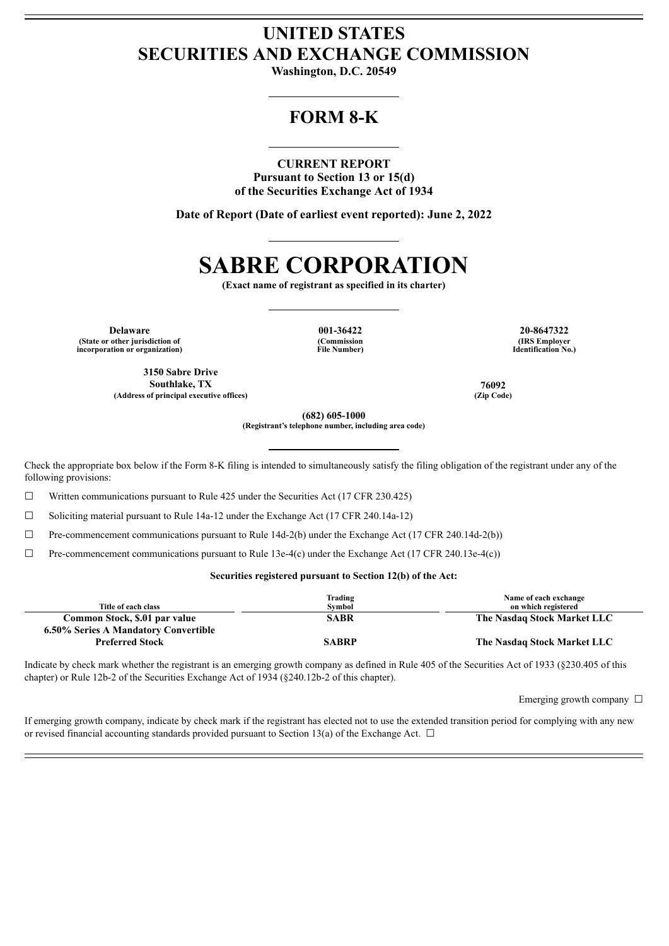# **UNITED STATES SECURITIES AND EXCHANGE COMMISSION**

**Washington, D.C. 20549**

# **FORM 8-K**

### **CURRENT REPORT**

**Pursuant to Section 13 or 15(d) of the Securities Exchange Act of 1934**

**Date of Report (Date of earliest event reported): June 2, 2022**

# **SABRE CORPORATION**

**(Exact name of registrant as specified in its charter)**

**Delaware 001-36422 20-8647322 (State or other jurisdiction of incorporation or organization)**

**(Commission File Number)**

**(IRS Employer Identification No.)**

**3150 Sabre Drive Southlake, TX 76092 (Address of principal executive offices) (Zip Code)**

**(682) 605-1000 (Registrant's telephone number, including area code)**

Check the appropriate box below if the Form 8-K filing is intended to simultaneously satisfy the filing obligation of the registrant under any of the following provisions:

☐ Written communications pursuant to Rule 425 under the Securities Act (17 CFR 230.425)

☐ Soliciting material pursuant to Rule 14a-12 under the Exchange Act (17 CFR 240.14a-12)

 $\Box$  Pre-commencement communications pursuant to Rule 14d-2(b) under the Exchange Act (17 CFR 240.14d-2(b))

 $\Box$  Pre-commencement communications pursuant to Rule 13e-4(c) under the Exchange Act (17 CFR 240.13e-4(c))

#### **Securities registered pursuant to Section 12(b) of the Act:**

| Title of each class                  | Trading<br>Symbol | Name of each exchange<br>on which registered |
|--------------------------------------|-------------------|----------------------------------------------|
| Common Stock, \$.01 par value        | <b>SABR</b>       | The Nasdaq Stock Market LLC                  |
| 6.50% Series A Mandatory Convertible |                   |                                              |
| <b>Preferred Stock</b>               | <b>SABRP</b>      | The Nasdaq Stock Market LLC                  |
|                                      |                   |                                              |

Indicate by check mark whether the registrant is an emerging growth company as defined in Rule 405 of the Securities Act of 1933 (§230.405 of this chapter) or Rule 12b-2 of the Securities Exchange Act of 1934 (§240.12b-2 of this chapter).

Emerging growth company  $\Box$ 

If emerging growth company, indicate by check mark if the registrant has elected not to use the extended transition period for complying with any new or revised financial accounting standards provided pursuant to Section 13(a) of the Exchange Act.  $\Box$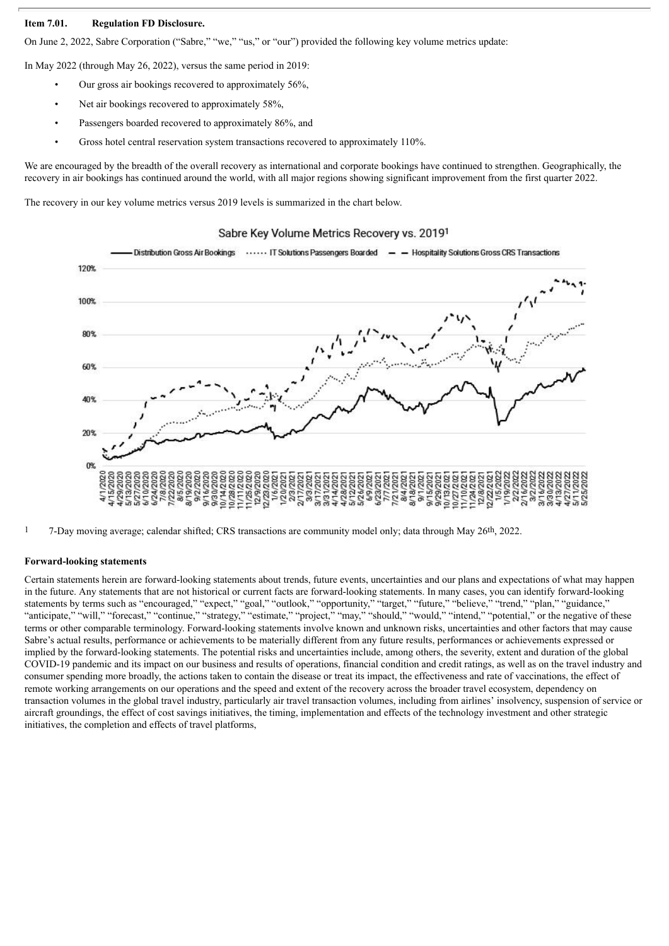## **Item 7.01. Regulation FD Disclosure.**

On June 2, 2022, Sabre Corporation ("Sabre," "we," "us," or "our") provided the following key volume metrics update:

In May 2022 (through May 26, 2022), versus the same period in 2019:

- Our gross air bookings recovered to approximately 56%,
- Net air bookings recovered to approximately 58%.
- Passengers boarded recovered to approximately 86%, and
- Gross hotel central reservation system transactions recovered to approximately 110%.

We are encouraged by the breadth of the overall recovery as international and corporate bookings have continued to strengthen. Geographically, the recovery in air bookings has continued around the world, with all major regions showing significant improvement from the first quarter 2022.

The recovery in our key volume metrics versus 2019 levels is summarized in the chart below.

## Distribution Gross Air Bookings ...... IT Solutions Passengers Boarded - - Hospitality Solutions Gross CRS Transactions 120% 100% 80% 60% 40% 20%  $0%$ 11/25/2020<br>12/9/2020<br>12/23/2020 47282021<br>57282021<br>5728202172021720217<br>5738202172021720217<br>5738202172021720218<br>57520218202182021 /20/202 02/17 3/31/202  $9/29$

#### Sabre Key Volume Metrics Recovery vs. 20191

1 7-Day moving average; calendar shifted; CRS transactions are community model only; data through May 26th, 2022.

#### **Forward-looking statements**

Certain statements herein are forward-looking statements about trends, future events, uncertainties and our plans and expectations of what may happen in the future. Any statements that are not historical or current facts are forward-looking statements. In many cases, you can identify forward-looking statements by terms such as "encouraged," "expect," "goal," "outlook," "opportunity," "target," "future," "believe," "trend," "plan," "guidance," "anticipate," "will," "forecast," "continue," "strategy," "estimate," "project," "may," "should," "would," "intend," "potential," or the negative of these terms or other comparable terminology. Forward-looking statements involve known and unknown risks, uncertainties and other factors that may cause Sabre's actual results, performance or achievements to be materially different from any future results, performances or achievements expressed or implied by the forward-looking statements. The potential risks and uncertainties include, among others, the severity, extent and duration of the global COVID-19 pandemic and its impact on our business and results of operations, financial condition and credit ratings, as well as on the travel industry and consumer spending more broadly, the actions taken to contain the disease or treat its impact, the effectiveness and rate of vaccinations, the effect of remote working arrangements on our operations and the speed and extent of the recovery across the broader travel ecosystem, dependency on transaction volumes in the global travel industry, particularly air travel transaction volumes, including from airlines' insolvency, suspension of service or aircraft groundings, the effect of cost savings initiatives, the timing, implementation and effects of the technology investment and other strategic initiatives, the completion and effects of travel platforms,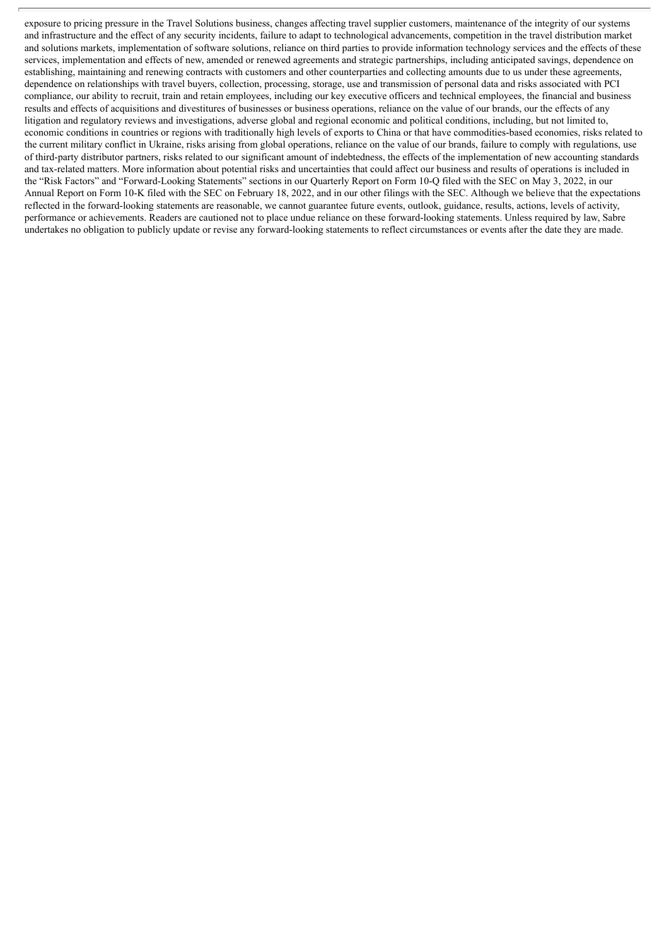exposure to pricing pressure in the Travel Solutions business, changes affecting travel supplier customers, maintenance of the integrity of our systems and infrastructure and the effect of any security incidents, failure to adapt to technological advancements, competition in the travel distribution market and solutions markets, implementation of software solutions, reliance on third parties to provide information technology services and the effects of these services, implementation and effects of new, amended or renewed agreements and strategic partnerships, including anticipated savings, dependence on establishing, maintaining and renewing contracts with customers and other counterparties and collecting amounts due to us under these agreements, dependence on relationships with travel buyers, collection, processing, storage, use and transmission of personal data and risks associated with PCI compliance, our ability to recruit, train and retain employees, including our key executive officers and technical employees, the financial and business results and effects of acquisitions and divestitures of businesses or business operations, reliance on the value of our brands, our the effects of any litigation and regulatory reviews and investigations, adverse global and regional economic and political conditions, including, but not limited to, economic conditions in countries or regions with traditionally high levels of exports to China or that have commodities-based economies, risks related to the current military conflict in Ukraine, risks arising from global operations, reliance on the value of our brands, failure to comply with regulations, use of third-party distributor partners, risks related to our significant amount of indebtedness, the effects of the implementation of new accounting standards and tax-related matters. More information about potential risks and uncertainties that could affect our business and results of operations is included in the "Risk Factors" and "Forward-Looking Statements" sections in our Quarterly Report on Form 10-Q filed with the SEC on May 3, 2022, in our Annual Report on Form 10-K filed with the SEC on February 18, 2022, and in our other filings with the SEC. Although we believe that the expectations reflected in the forward-looking statements are reasonable, we cannot guarantee future events, outlook, guidance, results, actions, levels of activity, performance or achievements. Readers are cautioned not to place undue reliance on these forward-looking statements. Unless required by law, Sabre undertakes no obligation to publicly update or revise any forward-looking statements to reflect circumstances or events after the date they are made.